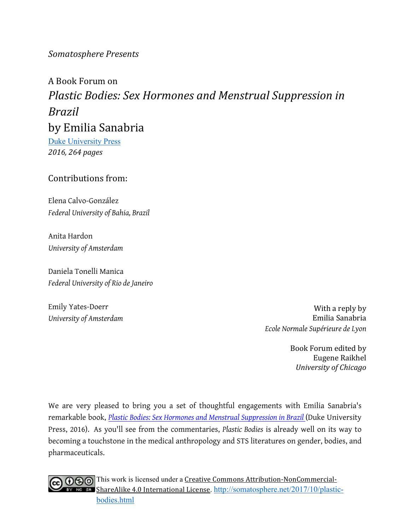### *Somatosphere+Presents*

# A!Book!Forum!on *Plastic Bodies: Sex Hormones and Menstrual Suppression in Brazil* by Emilia Sanabria

Duke University Press *2016,+264 pages*

### Contributions from:

Elena Calvo-González *Federal University of Bahia, Brazil*

Anita Hardon *University of Amsterdam*

Daniela Tonelli Manica *Federal University of Rio de Janeiro*

Emily Yates-Doerr *University of Amsterdam*

With a reply by Emilia!Sanabria *Ecole Normale Supérieure de Lyon*

> Book Forum edited by Eugene Raikhel *University+of+Chicago*

We are very pleased to bring you a set of thoughtful engagements with Emilia Sanabria's remarkable book, *Plastic Bodies: Sex Hormones and Menstrual Suppression in Brazil* (Duke University Press, 2016). As you'll see from the commentaries, *Plastic Bodies* is already well on its way to becoming a touchstone in the medical anthropology and STS literatures on gender, bodies, and pharmaceuticals.

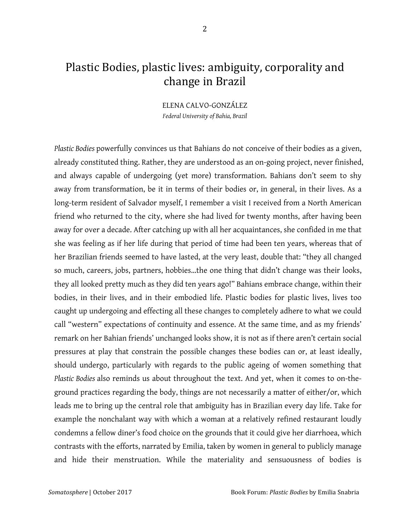## Plastic Bodies, plastic lives: ambiguity, corporality and change in Brazil

ELENA CALVO-GONZÁLEZ *Federal University of Bahia, Brazil*

*Plastic Bodies* powerfully convinces us that Bahians do not conceive of their bodies as a given, already constituted thing. Rather, they are understood as an on-going project, never finished, and always capable of undergoing (yet more) transformation. Bahians don't seem to shy away from transformation, be it in terms of their bodies or, in general, in their lives. As a long-term resident of Salvador myself, I remember a visit I received from a North American friend who returned to the city, where she had lived for twenty months, after having been away for over a decade. After catching up with all her acquaintances, she confided in me that she was feeling as if her life during that period of time had been ten years, whereas that of her Brazilian friends seemed to have lasted, at the very least, double that: "they all changed so much, careers, jobs, partners, hobbies…the one thing that didn't change was their looks, they all looked pretty much as they did ten years ago!" Bahians embrace change, within their bodies, in their lives, and in their embodied life. Plastic bodies for plastic lives, lives too caught up undergoing and effecting all these changes to completely adhere to what we could call "western" expectations of continuity and essence. At the same time, and as my friends' remark on her Bahian friends' unchanged looks show, it is not as if there aren't certain social pressures at play that constrain the possible changes these bodies can or, at least ideally, should undergo, particularly with regards to the public ageing of women something that *Plastic Bodies* also reminds us about throughout the text. And yet, when it comes to on-theground practices regarding the body, things are not necessarily a matter of either/or, which leads me to bring up the central role that ambiguity has in Brazilian every day life. Take for example the nonchalant way with which a woman at a relatively refined restaurant loudly condemns a fellow diner's food choice on the grounds that it could give her diarrhoea, which contrasts with the efforts, narrated by Emilia, taken by women in general to publicly manage and hide their menstruation. While the materiality and sensuousness of bodies is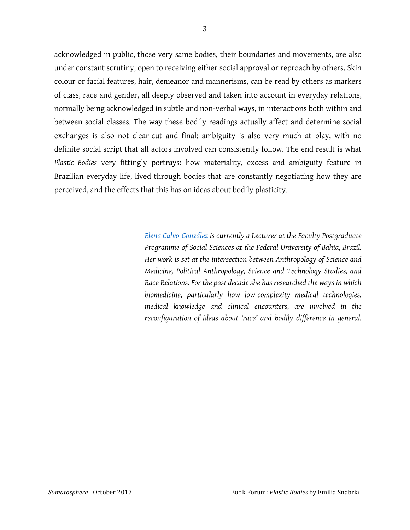acknowledged in public, those very same bodies, their boundaries and movements, are also under constant scrutiny, open to receiving either social approval or reproach by others. Skin colour or facial features, hair, demeanor and mannerisms, can be read by others as markers of class, race and gender, all deeply observed and taken into account in everyday relations, normally being acknowledged in subtle and non-verbal ways, in interactions both within and between social classes. The way these bodily readings actually affect and determine social exchanges is also not clear-cut and final: ambiguity is also very much at play, with no definite social script that all actors involved can consistently follow. The end result is what *Plastic Bodies* very fittingly portrays: how materiality, excess and ambiguity feature in Brazilian everyday life, lived through bodies that are constantly negotiating how they are perceived, and the effects that this has on ideas about bodily plasticity.

> *Elena Calvo-González is currently a Lecturer at the Faculty Postgraduate Programme of Social Sciences at the Federal University of Bahia, Brazil. Her work is set at the intersection between Anthropology of Science and Medicine, Political Anthropology, Science and Technology Studies, and Race Relations. For the past decade she has researched the ways in which biomedicine, particularly how low-complexity medical technologies, medical knowledge and clinical encounters, are involved in the reconfiguration of ideas about 'race' and bodily difference in general.*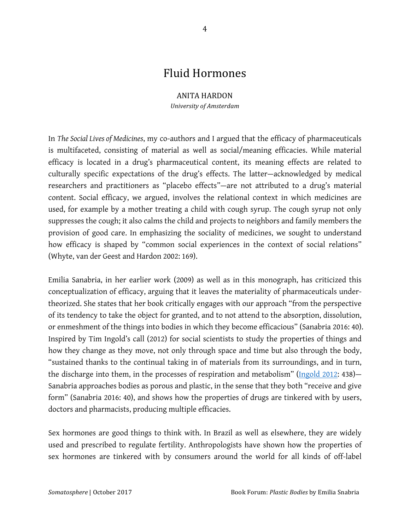### Fluid!Hormones

#### **ANITA HARDON**

*University+of+Amsterdam*

In *The Social Lives of Medicines*, my co-authors and I argued that the efficacy of pharmaceuticals is multifaceted, consisting of material as well as social/meaning efficacies. While material efficacy is located in a drug's pharmaceutical content, its meaning effects are related to culturally specific expectations of the drug's effects. The latter—acknowledged by medical researchers and practitioners as "placebo effects"—are not attributed to a drug's material content. Social efficacy, we argued, involves the relational context in which medicines are used, for example by a mother treating a child with cough syrup. The cough syrup not only suppresses the cough; it also calms the child and projects to neighbors and family members the provision of good care. In emphasizing the sociality of medicines, we sought to understand how efficacy is shaped by "common social experiences in the context of social relations" (Whyte, van der Geest and Hardon 2002: 169).

Emilia Sanabria, in her earlier work (2009) as well as in this monograph, has criticized this conceptualization of efficacy, arguing that it leaves the materiality of pharmaceuticals undertheorized. She states that her book critically engages with our approach "from the perspective of its tendency to take the object for granted, and to not attend to the absorption, dissolution, or enmeshment of the things into bodies in which they become efficacious" (Sanabria 2016: 40). Inspired by Tim Ingold's call (2012) for social scientists to study the properties of things and how they change as they move, not only through space and time but also through the body, "sustained thanks to the continual taking in of materials from its surroundings, and in turn, the discharge into them, in the processes of respiration and metabolism" (Ingold 2012: 438)-Sanabria approaches bodies as porous and plastic, in the sense that they both "receive and give form" (Sanabria 2016: 40), and shows how the properties of drugs are tinkered with by users, doctors and pharmacists, producing multiple efficacies.

Sex hormones are good things to think with. In Brazil as well as elsewhere, they are widely used and prescribed to regulate fertility. Anthropologists have shown how the properties of sex hormones are tinkered with by consumers around the world for all kinds of off-label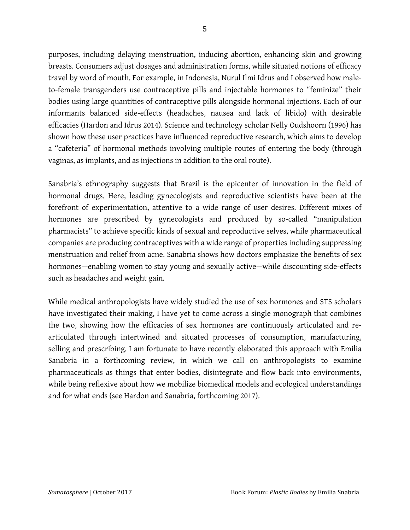purposes, including delaying menstruation, inducing abortion, enhancing skin and growing breasts. Consumers adjust dosages and administration forms, while situated notions of efficacy travel by word of mouth. For example, in Indonesia, Nurul Ilmi Idrus and I observed how maleto-female transgenders use contraceptive pills and injectable hormones to "feminize" their bodies using large quantities of contraceptive pills alongside hormonal injections. Each of our informants balanced side-effects (headaches, nausea and lack of libido) with desirable efficacies (Hardon and Idrus 2014). Science and technology scholar Nelly Oudshoorn (1996) has shown how these user practices have influenced reproductive research, which aims to develop a "cafeteria" of hormonal methods involving multiple routes of entering the body (through vaginas, as implants, and as injections in addition to the oral route).

Sanabria's ethnography suggests that Brazil is the epicenter of innovation in the field of hormonal drugs. Here, leading gynecologists and reproductive scientists have been at the forefront of experimentation, attentive to a wide range of user desires. Different mixes of hormones are prescribed by gynecologists and produced by so-called "manipulation pharmacists" to achieve specific kinds of sexual and reproductive selves, while pharmaceutical companies are producing contraceptives with a wide range of properties including suppressing menstruation and relief from acne. Sanabria shows how doctors emphasize the benefits of sex hormones—enabling women to stay young and sexually active—while discounting side-effects such as headaches and weight gain.

While medical anthropologists have widely studied the use of sex hormones and STS scholars have investigated their making, I have yet to come across a single monograph that combines the two, showing how the efficacies of sex hormones are continuously articulated and rearticulated through intertwined and situated processes of consumption, manufacturing, selling and prescribing. I am fortunate to have recently elaborated this approach with Emilia Sanabria in a forthcoming review, in which we call on anthropologists to examine pharmaceuticals as things that enter bodies, disintegrate and flow back into environments, while being reflexive about how we mobilize biomedical models and ecological understandings and for what ends (see Hardon and Sanabria, forthcoming 2017).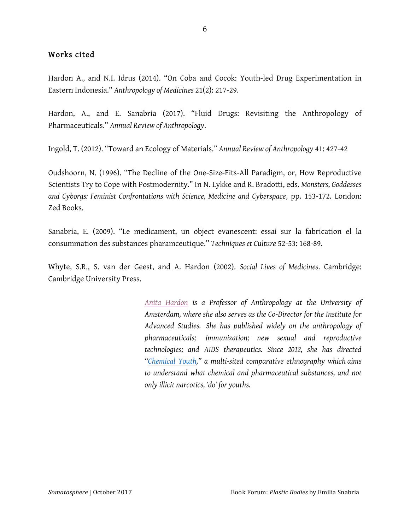### Works cited

Hardon A., and N.I. Idrus (2014). "On Coba and Cocok: Youth-led Drug Experimentation in Eastern Indonesia." *Anthropology of Medicines* 21(2): 217-29.

Hardon, A., and E. Sanabria (2017). "Fluid Drugs: Revisiting the Anthropology of Pharmaceuticals." *Annual Review of Anthropology*.

Ingold, T. (2012). "Toward an Ecology of Materials." *Annual Review of Anthropology* 41: 427-42

Oudshoorn, N. (1996). "The Decline of the One-Size-Fits-All Paradigm, or, How Reproductive Scientists Try to Cope with Postmodernity." In N. Lykke and R. Bradotti, eds. *Monsters, Goddesses and Cyborgs: Feminist Confrontations with Science, Medicine and Cyberspace*, pp. 153-172. London: Zed Books.

Sanabria, E. (2009). "Le medicament, un object evanescent: essai sur la fabrication el la consummation des substances pharamceutique." *Techniques et Culture* 52-53: 168-89.

Whyte, S.R., S. van der Geest, and A. Hardon (2002). *Social Lives of Medicines*. Cambridge: Cambridge University Press.

> *Anita Hardon is a Professor of Anthropology at the University of Amsterdam, where she also serves as the Co-Director for the Institute for Advanced Studies. She has published widely on the anthropology of pharmaceuticals; immunization; new sexual and reproductive technologies; and AIDS therapeutics. Since 2012, she has directed "Chemical Youth," a multi-sited comparative ethnography which aims to understand what chemical and pharmaceutical substances, and not only illicit narcotics, 'do' for youths.*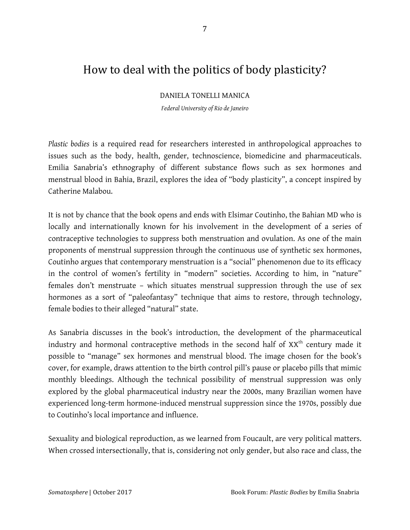## How to deal with the politics of body plasticity?

DANIELA TONELLI MANICA

*Federal University of Rio de Janeiro*

*Plastic bodies* is a required read for researchers interested in anthropological approaches to issues such as the body, health, gender, technoscience, biomedicine and pharmaceuticals. Emilia Sanabria's ethnography of different substance flows such as sex hormones and menstrual blood in Bahia, Brazil, explores the idea of "body plasticity", a concept inspired by Catherine Malabou.

It is not by chance that the book opens and ends with Elsimar Coutinho, the Bahian MD who is locally and internationally known for his involvement in the development of a series of contraceptive technologies to suppress both menstruation and ovulation. As one of the main proponents of menstrual suppression through the continuous use of synthetic sex hormones, Coutinho argues that contemporary menstruation is a "social" phenomenon due to its efficacy in the control of women's fertility in "modern" societies. According to him, in "nature" females don't menstruate – which situates menstrual suppression through the use of sex hormones as a sort of "paleofantasy" technique that aims to restore, through technology, female bodies to their alleged "natural" state.

As Sanabria discusses in the book's introduction, the development of the pharmaceutical industry and hormonal contraceptive methods in the second half of  $XX<sup>th</sup>$  century made it possible to "manage" sex hormones and menstrual blood. The image chosen for the book's cover, for example, draws attention to the birth control pill's pause or placebo pills that mimic monthly bleedings. Although the technical possibility of menstrual suppression was only explored by the global pharmaceutical industry near the 2000s, many Brazilian women have experienced long-term hormone-induced menstrual suppression since the 1970s, possibly due to Coutinho's local importance and influence.

Sexuality and biological reproduction, as we learned from Foucault, are very political matters. When crossed intersectionally, that is, considering not only gender, but also race and class, the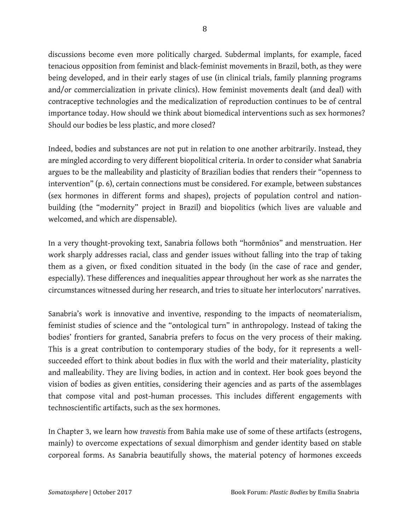discussions become even more politically charged. Subdermal implants, for example, faced tenacious opposition from feminist and black-feminist movements in Brazil, both, as they were being developed, and in their early stages of use (in clinical trials, family planning programs and/or commercialization in private clinics). How feminist movements dealt (and deal) with contraceptive technologies and the medicalization of reproduction continues to be of central importance today. How should we think about biomedical interventions such as sex hormones? Should our bodies be less plastic, and more closed?

Indeed, bodies and substances are not put in relation to one another arbitrarily. Instead, they are mingled according to very different biopolitical criteria. In order to consider what Sanabria argues to be the malleability and plasticity of Brazilian bodies that renders their "openness to intervention" (p. 6), certain connections must be considered. For example, between substances (sex hormones in different forms and shapes), projects of population control and nationbuilding (the "modernity" project in Brazil) and biopolitics (which lives are valuable and welcomed, and which are dispensable).

In a very thought-provoking text, Sanabria follows both "hormônios" and menstruation. Her work sharply addresses racial, class and gender issues without falling into the trap of taking them as a given, or fixed condition situated in the body (in the case of race and gender, especially). These differences and inequalities appear throughout her work as she narrates the circumstances witnessed during her research, and tries to situate her interlocutors' narratives.

Sanabria's work is innovative and inventive, responding to the impacts of neomaterialism, feminist studies of science and the "ontological turn" in anthropology. Instead of taking the bodies' frontiers for granted, Sanabria prefers to focus on the very process of their making. This is a great contribution to contemporary studies of the body, for it represents a wellsucceeded effort to think about bodies in flux with the world and their materiality, plasticity and malleability. They are living bodies, in action and in context. Her book goes beyond the vision of bodies as given entities, considering their agencies and as parts of the assemblages that compose vital and post-human processes. This includes different engagements with technoscientific artifacts, such as the sex hormones.

In Chapter 3, we learn how *travestis* from Bahia make use of some of these artifacts (estrogens, mainly) to overcome expectations of sexual dimorphism and gender identity based on stable corporeal forms. As Sanabria beautifully shows, the material potency of hormones exceeds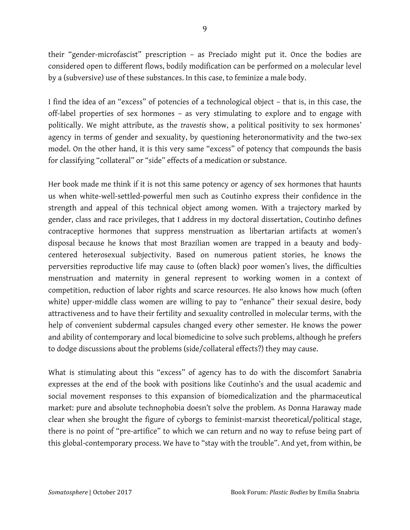their "gender-microfascist" prescription – as Preciado might put it. Once the bodies are considered open to different flows, bodily modification can be performed on a molecular level by a (subversive) use of these substances. In this case, to feminize a male body.

I find the idea of an "excess" of potencies of a technological object – that is, in this case, the off-label properties of sex hormones – as very stimulating to explore and to engage with politically. We might attribute, as the *travestis* show, a political positivity to sex hormones' agency in terms of gender and sexuality, by questioning heteronormativity and the two-sex model. On the other hand, it is this very same "excess" of potency that compounds the basis for classifying "collateral" or "side" effects of a medication or substance.

Her book made me think if it is not this same potency or agency of sex hormones that haunts us when white-well-settled-powerful men such as Coutinho express their confidence in the strength and appeal of this technical object among women. With a trajectory marked by gender, class and race privileges, that I address in my doctoral dissertation, Coutinho defines contraceptive hormones that suppress menstruation as libertarian artifacts at women's disposal because he knows that most Brazilian women are trapped in a beauty and bodycentered heterosexual subjectivity. Based on numerous patient stories, he knows the perversities reproductive life may cause to (often black) poor women's lives, the difficulties menstruation and maternity in general represent to working women in a context of competition, reduction of labor rights and scarce resources. He also knows how much (often white) upper-middle class women are willing to pay to "enhance" their sexual desire, body attractiveness and to have their fertility and sexuality controlled in molecular terms, with the help of convenient subdermal capsules changed every other semester. He knows the power and ability of contemporary and local biomedicine to solve such problems, although he prefers to dodge discussions about the problems (side/collateral effects?) they may cause.

What is stimulating about this "excess" of agency has to do with the discomfort Sanabria expresses at the end of the book with positions like Coutinho's and the usual academic and social movement responses to this expansion of biomedicalization and the pharmaceutical market: pure and absolute technophobia doesn't solve the problem. As Donna Haraway made clear when she brought the figure of cyborgs to feminist-marxist theoretical/political stage, there is no point of "pre-artifice" to which we can return and no way to refuse being part of this global-contemporary process. We have to "stay with the trouble". And yet, from within, be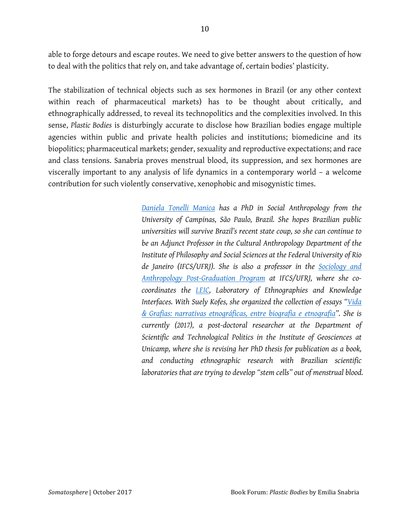able to forge detours and escape routes. We need to give better answers to the question of how to deal with the politics that rely on, and take advantage of, certain bodies' plasticity.

The stabilization of technical objects such as sex hormones in Brazil (or any other context within reach of pharmaceutical markets) has to be thought about critically, and ethnographically addressed, to reveal its technopolitics and the complexities involved. In this sense, *Plastic Bodies* is disturbingly accurate to disclose how Brazilian bodies engage multiple agencies within public and private health policies and institutions; biomedicine and its biopolitics; pharmaceutical markets; gender, sexuality and reproductive expectations; and race and class tensions. Sanabria proves menstrual blood, its suppression, and sex hormones are viscerally important to any analysis of life dynamics in a contemporary world – a welcome contribution for such violently conservative, xenophobic and misogynistic times.

> *Daniela Tonelli Manica has a PhD in Social Anthropology from the University of Campinas, São Paulo, Brazil. She hopes Brazilian public universities will survive Brazil's recent state coup, so she can continue to be an Adjunct Professor in the Cultural Anthropology Department of the Institute of Philosophy and Social Sciences at the Federal University of Rio de Janeiro (IFCS/UFRJ). She is also a professor in the Sociology and Anthropology Post-Graduation Program at IFCS/UFRJ, where she cocoordinates the LEIC, Laboratory of Ethnographies and Knowledge Interfaces. With Suely Kofes, she organized the collection of essays "Vida & Grafias: narrativas etnográficas, entre biografia e etnografia". She is currently (2017), a post-doctoral researcher at the Department of Scientific and Technological Politics in the Institute of Geosciences at Unicamp, where she is revising her PhD thesis for publication as a book, and conducting ethnographic research with Brazilian scientific laboratories that are trying to develop "stem cells" out of menstrual blood.*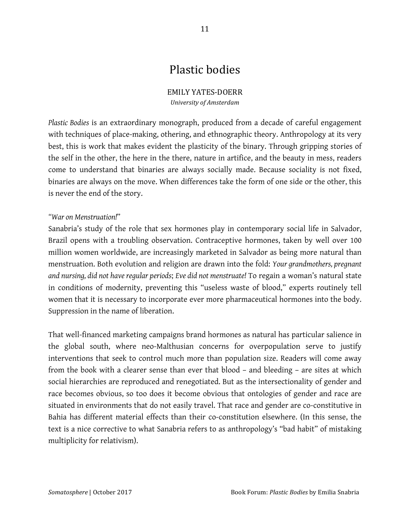## Plastic!bodies

#### EMILY YATES-DOERR *University+of+Amsterdam*

*Plastic Bodies* is an extraordinary monograph, produced from a decade of careful engagement with techniques of place-making, othering, and ethnographic theory. Anthropology at its very best, this is work that makes evident the plasticity of the binary. Through gripping stories of the self in the other, the here in the there, nature in artifice, and the beauty in mess, readers come to understand that binaries are always socially made. Because sociality is not fixed, binaries are always on the move. When differences take the form of one side or the other, this is never the end of the story.

#### *"War on Menstruation!*"

Sanabria's study of the role that sex hormones play in contemporary social life in Salvador, Brazil opens with a troubling observation. Contraceptive hormones, taken by well over 100 million women worldwide, are increasingly marketed in Salvador as being more natural than menstruation. Both evolution and religion are drawn into the fold: *Your grandmothers, pregnant and nursing, did not have regular periods*; *Eve did not menstruate!* To regain a woman's natural state in conditions of modernity, preventing this "useless waste of blood," experts routinely tell women that it is necessary to incorporate ever more pharmaceutical hormones into the body. Suppression in the name of liberation.

That well-financed marketing campaigns brand hormones as natural has particular salience in the global south, where neo-Malthusian concerns for overpopulation serve to justify interventions that seek to control much more than population size. Readers will come away from the book with a clearer sense than ever that blood – and bleeding – are sites at which social hierarchies are reproduced and renegotiated. But as the intersectionality of gender and race becomes obvious, so too does it become obvious that ontologies of gender and race are situated in environments that do not easily travel. That race and gender are co-constitutive in Bahia has different material effects than their co-constitution elsewhere. (In this sense, the text is a nice corrective to what Sanabria refers to as anthropology's "bad habit" of mistaking multiplicity for relativism).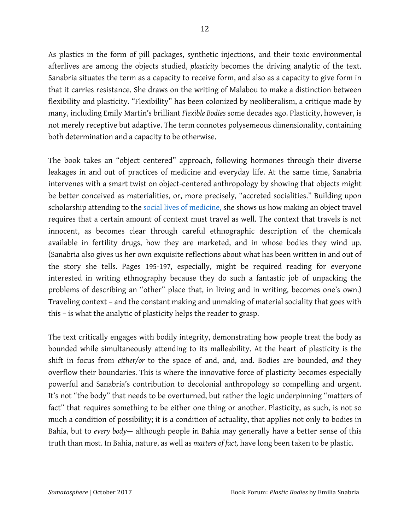12

As plastics in the form of pill packages, synthetic injections, and their toxic environmental afterlives are among the objects studied, *plasticity* becomes the driving analytic of the text. Sanabria situates the term as a capacity to receive form, and also as a capacity to give form in that it carries resistance. She draws on the writing of Malabou to make a distinction between flexibility and plasticity. "Flexibility" has been colonized by neoliberalism, a critique made by many, including Emily Martin's brilliant *Flexible Bodies* some decades ago. Plasticity, however, is not merely receptive but adaptive. The term connotes polysemeous dimensionality, containing both determination and a capacity to be otherwise.

The book takes an "object centered" approach, following hormones through their diverse leakages in and out of practices of medicine and everyday life. At the same time, Sanabria intervenes with a smart twist on object-centered anthropology by showing that objects might be better conceived as materialities, or, more precisely, "accreted socialities." Building upon scholarship attending to the social lives of medicine, she shows us how making an object travel requires that a certain amount of context must travel as well. The context that travels is not innocent, as becomes clear through careful ethnographic description of the chemicals available in fertility drugs, how they are marketed, and in whose bodies they wind up. (Sanabria also gives us her own exquisite reflections about what has been written in and out of the story she tells. Pages 195-197, especially, might be required reading for everyone interested in writing ethnography because they do such a fantastic job of unpacking the problems of describing an "other" place that, in living and in writing, becomes one's own.) Traveling context – and the constant making and unmaking of material sociality that goes with this – is what the analytic of plasticity helps the reader to grasp.

The text critically engages with bodily integrity, demonstrating how people treat the body as bounded while simultaneously attending to its malleability. At the heart of plasticity is the shift in focus from *either/or* to the space of and, and, and. Bodies are bounded, *and* they overflow their boundaries. This is where the innovative force of plasticity becomes especially powerful and Sanabria's contribution to decolonial anthropology so compelling and urgent. It's not "the body" that needs to be overturned, but rather the logic underpinning "matters of fact" that requires something to be either one thing or another. Plasticity, as such, is not so much a condition of possibility; it is a condition of actuality, that applies not only to bodies in Bahia, but to *every body*— although people in Bahia may generally have a better sense of this truth than most. In Bahia, nature, as well as *matters of fact,* have long been taken to be plastic.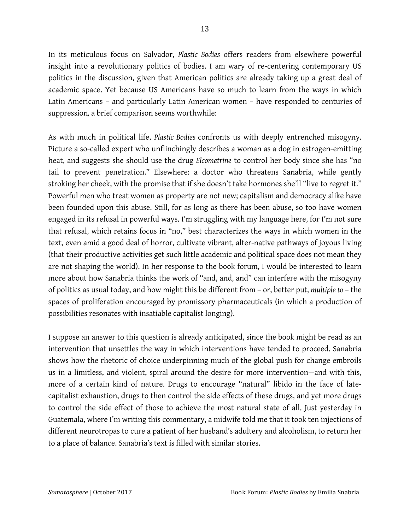In its meticulous focus on Salvador, *Plastic Bodies* offers readers from elsewhere powerful insight into a revolutionary politics of bodies. I am wary of re-centering contemporary US politics in the discussion, given that American politics are already taking up a great deal of academic space. Yet because US Americans have so much to learn from the ways in which Latin Americans – and particularly Latin American women – have responded to centuries of suppression*,* a brief comparison seems worthwhile:

As with much in political life, *Plastic Bodies* confronts us with deeply entrenched misogyny. Picture a so-called expert who unflinchingly describes a woman as a dog in estrogen-emitting heat, and suggests she should use the drug *Elcometrine* to control her body since she has "no tail to prevent penetration." Elsewhere: a doctor who threatens Sanabria, while gently stroking her cheek, with the promise that if she doesn't take hormones she'll "live to regret it." Powerful men who treat women as property are not new; capitalism and democracy alike have been founded upon this abuse. Still, for as long as there has been abuse, so too have women engaged in its refusal in powerful ways. I'm struggling with my language here, for I'm not sure that refusal, which retains focus in "no," best characterizes the ways in which women in the text, even amid a good deal of horror, cultivate vibrant, alter-native pathways of joyous living (that their productive activities get such little academic and political space does not mean they are not shaping the world). In her response to the book forum, I would be interested to learn more about how Sanabria thinks the work of "and, and, and" can interfere with the misogyny of politics as usual today, and how might this be different from – or, better put, *multiple to* – the spaces of proliferation encouraged by promissory pharmaceuticals (in which a production of possibilities resonates with insatiable capitalist longing).

I suppose an answer to this question is already anticipated, since the book might be read as an intervention that unsettles the way in which interventions have tended to proceed. Sanabria shows how the rhetoric of choice underpinning much of the global push for change embroils us in a limitless, and violent, spiral around the desire for more intervention—and with this, more of a certain kind of nature. Drugs to encourage "natural" libido in the face of latecapitalist exhaustion, drugs to then control the side effects of these drugs, and yet more drugs to control the side effect of those to achieve the most natural state of all. Just yesterday in Guatemala, where I'm writing this commentary, a midwife told me that it took ten injections of different neurotropas to cure a patient of her husband's adultery and alcoholism, to return her to a place of balance. Sanabria's text is filled with similar stories.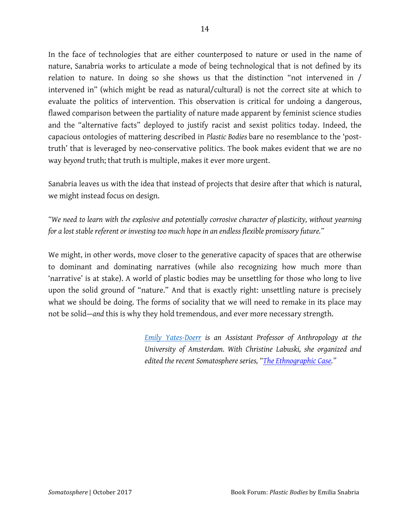In the face of technologies that are either counterposed to nature or used in the name of nature, Sanabria works to articulate a mode of being technological that is not defined by its relation to nature. In doing so she shows us that the distinction "not intervened in / intervened in" (which might be read as natural/cultural) is not the correct site at which to evaluate the politics of intervention. This observation is critical for undoing a dangerous, flawed comparison between the partiality of nature made apparent by feminist science studies and the "alternative facts" deployed to justify racist and sexist politics today. Indeed, the capacious ontologies of mattering described in *Plastic Bodies* bare no resemblance to the 'posttruth' that is leveraged by neo-conservative politics. The book makes evident that we are no way *beyond* truth; that truth is multiple, makes it ever more urgent.

Sanabria leaves us with the idea that instead of projects that desire after that which is natural, we might instead focus on design.

*"We need to learn with the explosive and potentially corrosive character of plasticity, without yearning for a lost stable referent or investing too much hope in an endless flexible promissory future."*

We might, in other words, move closer to the generative capacity of spaces that are otherwise to dominant and dominating narratives (while also recognizing how much more than 'narrative' is at stake). A world of plastic bodies may be unsettling for those who long to live upon the solid ground of "nature." And that is exactly right: unsettling nature is precisely what we should be doing. The forms of sociality that we will need to remake in its place may not be solid—*and* this is why they hold tremendous, and ever more necessary strength.

> *Emily Yates-Doerr is an Assistant Professor of Anthropology at the University of Amsterdam. With Christine Labuski, she organized and edited the recent Somatosphere series, "The Ethnographic Case."*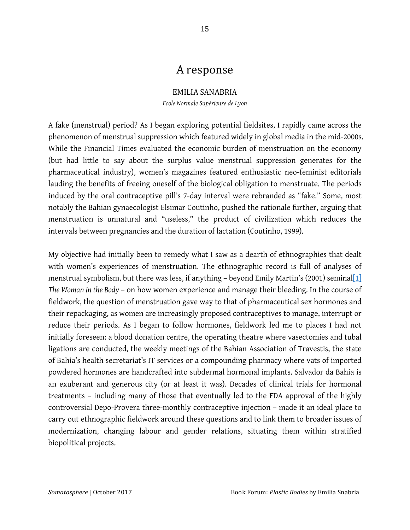### A!response

#### EMILIA!SANABRIA

*Ecole Normale Supérieure de Lyon*

A fake (menstrual) period? As I began exploring potential fieldsites, I rapidly came across the phenomenon of menstrual suppression which featured widely in global media in the mid-2000s. While the Financial Times evaluated the economic burden of menstruation on the economy (but had little to say about the surplus value menstrual suppression generates for the pharmaceutical industry), women's magazines featured enthusiastic neo-feminist editorials lauding the benefits of freeing oneself of the biological obligation to menstruate. The periods induced by the oral contraceptive pill's 7-day interval were rebranded as "fake." Some, most notably the Bahian gynaecologist Elsimar Coutinho, pushed the rationale further, arguing that menstruation is unnatural and "useless," the product of civilization which reduces the intervals between pregnancies and the duration of lactation (Coutinho, 1999).

My objective had initially been to remedy what I saw as a dearth of ethnographies that dealt with women's experiences of menstruation. The ethnographic record is full of analyses of menstrual symbolism, but there was less, if anything - beyond Emily Martin's (2001) seminal[1] *The Woman in the Body* – on how women experience and manage their bleeding. In the course of fieldwork, the question of menstruation gave way to that of pharmaceutical sex hormones and their repackaging, as women are increasingly proposed contraceptives to manage, interrupt or reduce their periods. As I began to follow hormones, fieldwork led me to places I had not initially foreseen: a blood donation centre, the operating theatre where vasectomies and tubal ligations are conducted, the weekly meetings of the Bahian Association of Travestis, the state of Bahia's health secretariat's IT services or a compounding pharmacy where vats of imported powdered hormones are handcrafted into subdermal hormonal implants. Salvador da Bahia is an exuberant and generous city (or at least it was). Decades of clinical trials for hormonal treatments – including many of those that eventually led to the FDA approval of the highly controversial Depo-Provera three-monthly contraceptive injection – made it an ideal place to carry out ethnographic fieldwork around these questions and to link them to broader issues of modernization, changing labour and gender relations, situating them within stratified biopolitical projects.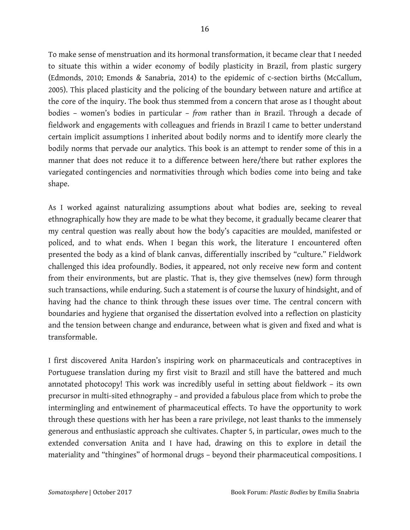To make sense of menstruation and its hormonal transformation, it became clear that I needed to situate this within a wider economy of bodily plasticity in Brazil, from plastic surgery (Edmonds, 2010; Emonds & Sanabria, 2014) to the epidemic of c-section births (McCallum, 2005). This placed plasticity and the policing of the boundary between nature and artifice at the core of the inquiry. The book thus stemmed from a concern that arose as I thought about bodies – women's bodies in particular – *from* rather than *in* Brazil. Through a decade of fieldwork and engagements with colleagues and friends in Brazil I came to better understand certain implicit assumptions I inherited about bodily norms and to identify more clearly the bodily norms that pervade our analytics. This book is an attempt to render some of this in a manner that does not reduce it to a difference between here/there but rather explores the variegated contingencies and normativities through which bodies come into being and take shape.

As I worked against naturalizing assumptions about what bodies are, seeking to reveal ethnographically how they are made to be what they become, it gradually became clearer that my central question was really about how the body's capacities are moulded, manifested or policed, and to what ends. When I began this work, the literature I encountered often presented the body as a kind of blank canvas, differentially inscribed by "culture." Fieldwork challenged this idea profoundly. Bodies, it appeared, not only receive new form and content from their environments, but are plastic. That is, they give themselves (new) form through such transactions, while enduring. Such a statement is of course the luxury of hindsight, and of having had the chance to think through these issues over time. The central concern with boundaries and hygiene that organised the dissertation evolved into a reflection on plasticity and the tension between change and endurance, between what is given and fixed and what is transformable.

I first discovered Anita Hardon's inspiring work on pharmaceuticals and contraceptives in Portuguese translation during my first visit to Brazil and still have the battered and much annotated photocopy! This work was incredibly useful in setting about fieldwork – its own precursor in multi-sited ethnography – and provided a fabulous place from which to probe the intermingling and entwinement of pharmaceutical effects. To have the opportunity to work through these questions with her has been a rare privilege, not least thanks to the immensely generous and enthusiastic approach she cultivates. Chapter 5, in particular, owes much to the extended conversation Anita and I have had, drawing on this to explore in detail the materiality and "thingines" of hormonal drugs – beyond their pharmaceutical compositions. I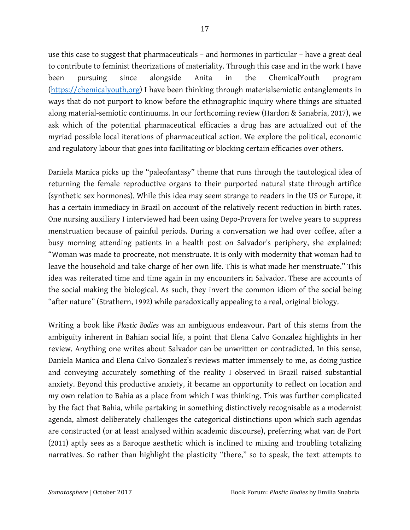use this case to suggest that pharmaceuticals – and hormones in particular – have a great deal to contribute to feminist theorizations of materiality. Through this case and in the work I have been pursuing since alongside Anita in the ChemicalYouth program (https://chemicalyouth.org) I have been thinking through materialsemiotic entanglements in ways that do not purport to know before the ethnographic inquiry where things are situated along material-semiotic continuums. In our forthcoming review (Hardon & Sanabria, 2017), we ask which of the potential pharmaceutical efficacies a drug has are actualized out of the myriad possible local iterations of pharmaceutical action. We explore the political, economic and regulatory labour that goes into facilitating or blocking certain efficacies over others.

Daniela Manica picks up the "paleofantasy" theme that runs through the tautological idea of returning the female reproductive organs to their purported natural state through artifice (synthetic sex hormones). While this idea may seem strange to readers in the US or Europe, it has a certain immediacy in Brazil on account of the relatively recent reduction in birth rates. One nursing auxiliary I interviewed had been using Depo-Provera for twelve years to suppress menstruation because of painful periods. During a conversation we had over coffee, after a busy morning attending patients in a health post on Salvador's periphery, she explained: "Woman was made to procreate, not menstruate. It is only with modernity that woman had to leave the household and take charge of her own life. This is what made her menstruate." This idea was reiterated time and time again in my encounters in Salvador. These are accounts of the social making the biological. As such, they invert the common idiom of the social being "after nature" (Strathern, 1992) while paradoxically appealing to a real, original biology.

Writing a book like *Plastic Bodies* was an ambiguous endeavour. Part of this stems from the ambiguity inherent in Bahian social life, a point that Elena Calvo Gonzalez highlights in her review. Anything one writes about Salvador can be unwritten or contradicted. In this sense, Daniela Manica and Elena Calvo Gonzalez's reviews matter immensely to me, as doing justice and conveying accurately something of the reality I observed in Brazil raised substantial anxiety. Beyond this productive anxiety, it became an opportunity to reflect on location and my own relation to Bahia as a place from which I was thinking. This was further complicated by the fact that Bahia, while partaking in something distinctively recognisable as a modernist agenda, almost deliberately challenges the categorical distinctions upon which such agendas are constructed (or at least analysed within academic discourse), preferring what van de Port (2011) aptly sees as a Baroque aesthetic which is inclined to mixing and troubling totalizing narratives. So rather than highlight the plasticity "there," so to speak, the text attempts to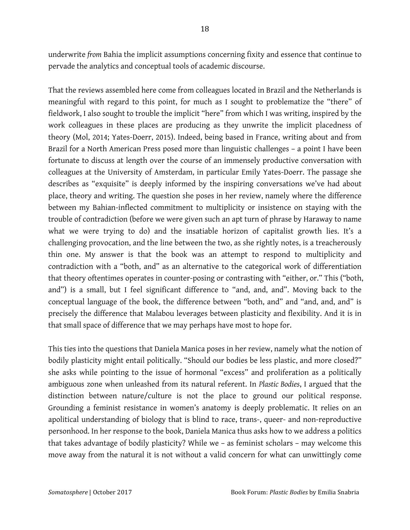underwrite *from* Bahia the implicit assumptions concerning fixity and essence that continue to pervade the analytics and conceptual tools of academic discourse.

That the reviews assembled here come from colleagues located in Brazil and the Netherlands is meaningful with regard to this point, for much as I sought to problematize the "there" of fieldwork, I also sought to trouble the implicit "here" from which I was writing, inspired by the work colleagues in these places are producing as they unwrite the implicit placedness of theory (Mol, 2014; Yates-Doerr, 2015). Indeed, being based in France, writing about and from Brazil for a North American Press posed more than linguistic challenges – a point I have been fortunate to discuss at length over the course of an immensely productive conversation with colleagues at the University of Amsterdam, in particular Emily Yates-Doerr. The passage she describes as "exquisite" is deeply informed by the inspiring conversations we've had about place, theory and writing. The question she poses in her review, namely where the difference between my Bahian-inflected commitment to multiplicity or insistence on staying with the trouble of contradiction (before we were given such an apt turn of phrase by Haraway to name what we were trying to do) and the insatiable horizon of capitalist growth lies. It's a challenging provocation, and the line between the two, as she rightly notes, is a treacherously thin one. My answer is that the book was an attempt to respond to multiplicity and contradiction with a "both, and" as an alternative to the categorical work of differentiation that theory oftentimes operates in counter-posing or contrasting with "either, or." This ("both, and") is a small, but I feel significant difference to "and, and, and". Moving back to the conceptual language of the book, the difference between "both, and" and "and, and, and" is precisely the difference that Malabou leverages between plasticity and flexibility. And it is in that small space of difference that we may perhaps have most to hope for.

This ties into the questions that Daniela Manica poses in her review, namely what the notion of bodily plasticity might entail politically. "Should our bodies be less plastic, and more closed?" she asks while pointing to the issue of hormonal "excess" and proliferation as a politically ambiguous zone when unleashed from its natural referent. In *Plastic Bodies*, I argued that the distinction between nature/culture is not the place to ground our political response. Grounding a feminist resistance in women's anatomy is deeply problematic. It relies on an apolitical understanding of biology that is blind to race, trans-, queer- and non-reproductive personhood. In her response to the book, Daniela Manica thus asks how to we address a politics that takes advantage of bodily plasticity? While we – as feminist scholars – may welcome this move away from the natural it is not without a valid concern for what can unwittingly come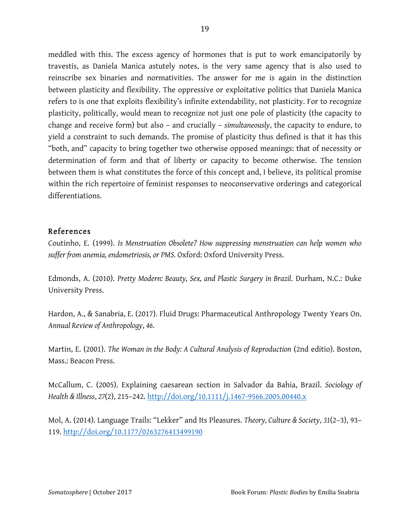meddled with this. The excess agency of hormones that is put to work emancipatorily by travestis, as Daniela Manica astutely notes, is the very same agency that is also used to reinscribe sex binaries and normativities. The answer for me is again in the distinction between plasticity and flexibility. The oppressive or exploitative politics that Daniela Manica refers to is one that exploits flexibility's infinite extendability, not plasticity. For to recognize plasticity, politically, would mean to recognize not just one pole of plasticity (the capacity to change and receive form) but also – and crucially – *simultaneously*, the capacity to endure, to yield a constraint to such demands. The promise of plasticity thus defined is that it has this "both, and" capacity to bring together two otherwise opposed meanings: that of necessity or determination of form and that of liberty or capacity to become otherwise. The tension between them is what constitutes the force of this concept and, I believe, its political promise within the rich repertoire of feminist responses to neoconservative orderings and categorical differentiations.

### References

Coutinho, E. (1999). *Is Menstruation Obsolete? How suppressing menstruation can help women who suffer from anemia, endometriosis, or PMS.* Oxford: Oxford University Press.

Edmonds, A. (2010). *Pretty Modern: Beauty, Sex, and Plastic Surgery in Brazil*. Durham, N.C.: Duke University Press.

Hardon, A., & Sanabria, E. (2017). Fluid Drugs: Pharmaceutical Anthropology Twenty Years On. *Annual Review of Anthropology*, *46*.

Martin, E. (2001). *The Woman in the Body: A Cultural Analysis of Reproduction* (2nd editio). Boston, Mass.: Beacon Press.

McCallum, C. (2005). Explaining caesarean section in Salvador da Bahia, Brazil. *Sociology of Health & Illness*, *27*(2), 215–242. http://doi.org/10.1111/j.1467-9566.2005.00440.x

Mol, A. (2014). Language Trails: "Lekker" and Its Pleasures. *Theory, Culture & Society*, *31*(2–3), 93– 119. http://doi.org/10.1177/0263276413499190